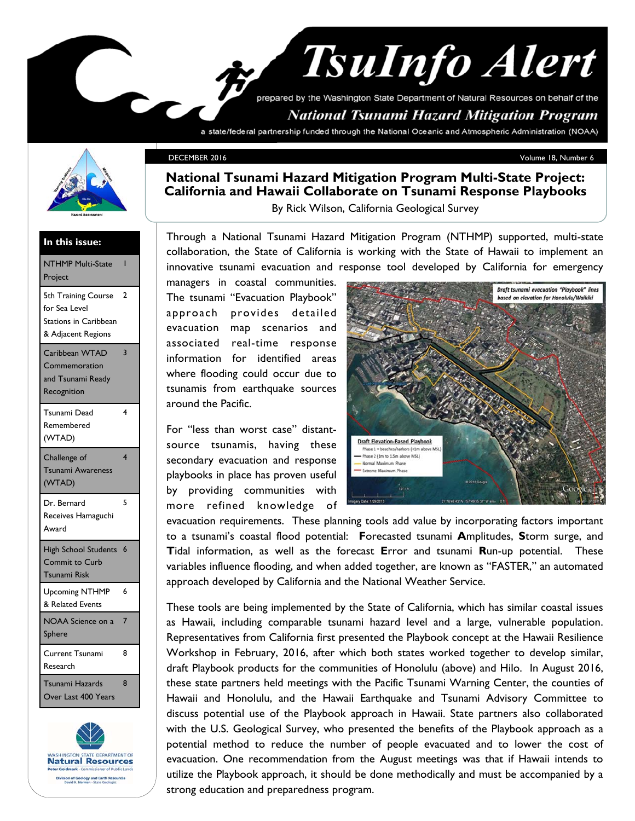# **TsuInfo Alert** prepared by the Washington State Department of Natural Resources on behalf of the

### **National Tsunami Hazard Mitigation Program**

a state/federal partnership funded through the National Oceanic and Atmospheric Administration (NOAA)



#### DECEMBER 2016 Volume 18, Number 6

#### **National Tsunami Hazard Mitigation Program Multi-State Project: California and Hawaii Collaborate on Tsunami Response Playbooks**

By Rick Wilson, California Geological Survey

#### **In this issue:**

| <b>NTHMP Multi-State</b><br>Project                                                 | ı                       |
|-------------------------------------------------------------------------------------|-------------------------|
| 5th Training Course<br>for Sea Level<br>Stations in Caribbean<br>& Adjacent Regions | 2                       |
| Caribbean WTAD<br>Commemoration<br>and Tsunami Ready<br>Recognition                 | 3                       |
| Tsunami Dead<br>Remembered<br>(WTAD)                                                | 4                       |
| Challenge of<br>Tsunami Awareness<br>(WTAD)                                         | $\overline{\mathbf{4}}$ |
| Dr. Bernard<br>Receives Hamaguchi<br>Award                                          | 5                       |
| <b>High School Students</b><br>Commit to Curb<br>Tsunami Risk                       | $6\phantom{1}6$         |
| <b>Upcoming NTHMP</b><br>& Related Events                                           | 6                       |
| NOAA Science on a<br>Sphere                                                         | $\overline{7}$          |
| Current Tsunami<br>Research                                                         | 8                       |
| Tsunami Hazards<br>Over Last 400 Years                                              | 8                       |



Through a National Tsunami Hazard Mitigation Program (NTHMP) supported, multi-state collaboration, the State of California is working with the State of Hawaii to implement an innovative tsunami evacuation and response tool developed by California for emergency

managers in coastal communities. The tsunami "Evacuation Playbook" approach provides detailed evacuation map scenarios and associated real-time response information for identified areas where flooding could occur due to tsunamis from earthquake sources around the Pacific.

For "less than worst case" distantsource tsunamis, having these secondary evacuation and response playbooks in place has proven useful by providing communities with more refined knowledge of



evacuation requirements. These planning tools add value by incorporating factors important to a tsunami's coastal flood potential: **F**orecasted tsunami **A**mplitudes, **S**torm surge, and **T**idal information, as well as the forecast **E**rror and tsunami **R**un-up potential. These variables influence flooding, and when added together, are known as "FASTER," an automated approach developed by California and the National Weather Service.

These tools are being implemented by the State of California, which has similar coastal issues as Hawaii, including comparable tsunami hazard level and a large, vulnerable population. Representatives from California first presented the Playbook concept at the Hawaii Resilience Workshop in February, 2016, after which both states worked together to develop similar, draft Playbook products for the communities of Honolulu (above) and Hilo. In August 2016, these state partners held meetings with the Pacific Tsunami Warning Center, the counties of Hawaii and Honolulu, and the Hawaii Earthquake and Tsunami Advisory Committee to discuss potential use of the Playbook approach in Hawaii. State partners also collaborated with the U.S. Geological Survey, who presented the benefits of the Playbook approach as a potential method to reduce the number of people evacuated and to lower the cost of evacuation. One recommendation from the August meetings was that if Hawaii intends to utilize the Playbook approach, it should be done methodically and must be accompanied by a strong education and preparedness program.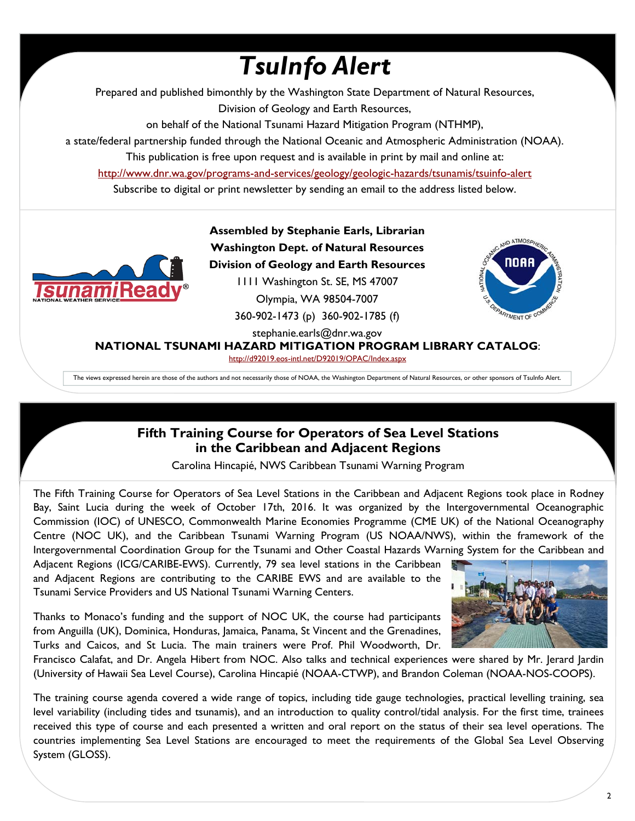# *TsuInfo Alert*

Prepared and published bimonthly by the Washington State Department of Natural Resources, Division of Geology and Earth Resources,

on behalf of the National Tsunami Hazard Mitigation Program (NTHMP),

a state/federal partnership funded through the National Oceanic and Atmospheric Administration (NOAA).

This publication is free upon request and is available in print by mail and online at:

http://www.dnr.wa.gov/programs-and-services/geology/geologic-hazards/tsunamis/tsuinfo-alert

Subscribe to digital or print newsletter by sending an email to the address listed below.



**Assembled by Stephanie Earls, Librarian Washington Dept. of Natural Resources Division of Geology and Earth Resources**  1111 Washington St. SE, MS 47007 Olympia, WA 98504-7007 360-902-1473 (p) 360-902-1785 (f)



stephanie.earls@dnr.wa.gov

**NATIONAL TSUNAMI HAZARD MITIGATION PROGRAM LIBRARY CATALOG**:

http://d92019.eos-intl.net/D92019/OPAC/Index.aspx

The views expressed herein are those of the authors and not necessarily those of NOAA, the Washington Department of Natural Resources, or other sponsors of TsuInfo Alert.

#### **Fifth Training Course for Operators of Sea Level Stations in the Caribbean and Adjacent Regions**

Carolina Hincapié, NWS Caribbean Tsunami Warning Program

The Fifth Training Course for Operators of Sea Level Stations in the Caribbean and Adjacent Regions took place in Rodney Bay, Saint Lucia during the week of October 17th, 2016. It was organized by the Intergovernmental Oceanographic Commission (IOC) of UNESCO, Commonwealth Marine Economies Programme (CME UK) of the National Oceanography Centre (NOC UK), and the Caribbean Tsunami Warning Program (US NOAA/NWS), within the framework of the Intergovernmental Coordination Group for the Tsunami and Other Coastal Hazards Warning System for the Caribbean and

Adjacent Regions (ICG/CARIBE-EWS). Currently, 79 sea level stations in the Caribbean and Adjacent Regions are contributing to the CARIBE EWS and are available to the Tsunami Service Providers and US National Tsunami Warning Centers.

Thanks to Monaco's funding and the support of NOC UK, the course had participants from Anguilla (UK), Dominica, Honduras, Jamaica, Panama, St Vincent and the Grenadines, Turks and Caicos, and St Lucia. The main trainers were Prof. Phil Woodworth, Dr.



Francisco Calafat, and Dr. Angela Hibert from NOC. Also talks and technical experiences were shared by Mr. Jerard Jardin (University of Hawaii Sea Level Course), Carolina Hincapié (NOAA-CTWP), and Brandon Coleman (NOAA-NOS-COOPS).

The training course agenda covered a wide range of topics, including tide gauge technologies, practical levelling training, sea level variability (including tides and tsunamis), and an introduction to quality control/tidal analysis. For the first time, trainees received this type of course and each presented a written and oral report on the status of their sea level operations. The countries implementing Sea Level Stations are encouraged to meet the requirements of the Global Sea Level Observing System (GLOSS).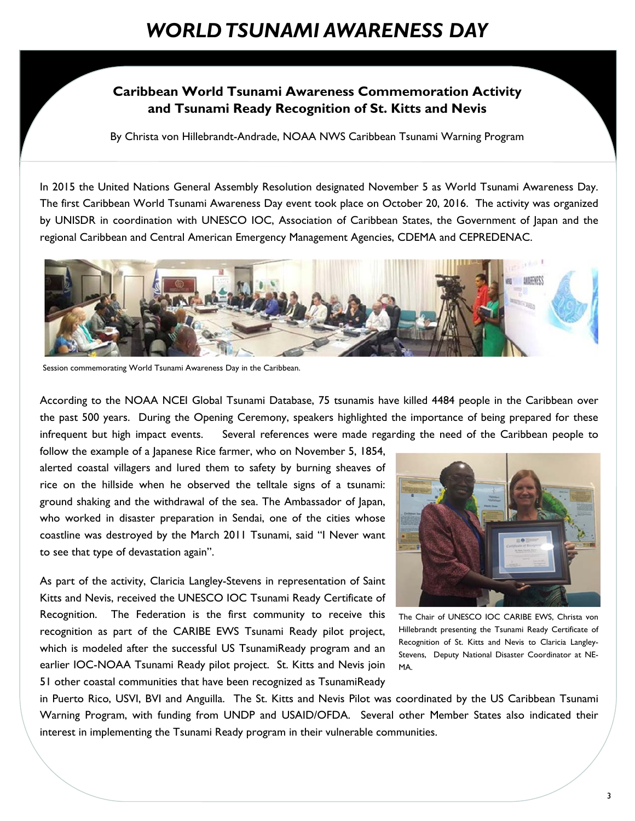#### **Caribbean World Tsunami Awareness Commemoration Activity and Tsunami Ready Recognition of St. Kitts and Nevis**

By Christa von Hillebrandt-Andrade, NOAA NWS Caribbean Tsunami Warning Program

In 2015 the United Nations General Assembly Resolution designated November 5 as World Tsunami Awareness Day. The first Caribbean World Tsunami Awareness Day event took place on October 20, 2016. The activity was organized by UNISDR in coordination with UNESCO IOC, Association of Caribbean States, the Government of Japan and the regional Caribbean and Central American Emergency Management Agencies, CDEMA and CEPREDENAC.



Session commemorating World Tsunami Awareness Day in the Caribbean.

According to the NOAA NCEI Global Tsunami Database, 75 tsunamis have killed 4484 people in the Caribbean over the past 500 years. During the Opening Ceremony, speakers highlighted the importance of being prepared for these infrequent but high impact events. Several references were made regarding the need of the Caribbean people to

follow the example of a Japanese Rice farmer, who on November 5, 1854, alerted coastal villagers and lured them to safety by burning sheaves of rice on the hillside when he observed the telltale signs of a tsunami: ground shaking and the withdrawal of the sea. The Ambassador of Japan, who worked in disaster preparation in Sendai, one of the cities whose coastline was destroyed by the March 2011 Tsunami, said "I Never want to see that type of devastation again".

As part of the activity, Claricia Langley-Stevens in representation of Saint Kitts and Nevis, received the UNESCO IOC Tsunami Ready Certificate of Recognition. The Federation is the first community to receive this recognition as part of the CARIBE EWS Tsunami Ready pilot project, which is modeled after the successful US TsunamiReady program and an earlier IOC-NOAA Tsunami Ready pilot project. St. Kitts and Nevis join 51 other coastal communities that have been recognized as TsunamiReady



The Chair of UNESCO IOC CARIBE EWS, Christa von Hillebrandt presenting the Tsunami Ready Certificate of Recognition of St. Kitts and Nevis to Claricia Langley-Stevens, Deputy National Disaster Coordinator at NE-MA.

in Puerto Rico, USVI, BVI and Anguilla. The St. Kitts and Nevis Pilot was coordinated by the US Caribbean Tsunami Warning Program, with funding from UNDP and USAID/OFDA. Several other Member States also indicated their interest in implementing the Tsunami Ready program in their vulnerable communities.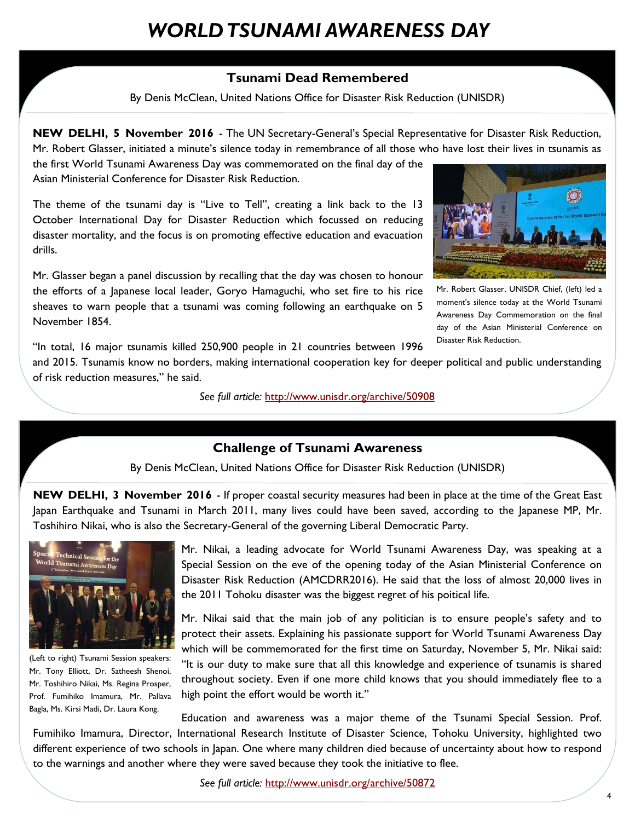### *WORLD TSUNAMI AWARENESS DAY*

#### **Tsunami Dead Remembered**

By Denis McClean, United Nations Office for Disaster Risk Reduction (UNISDR)

**NEW DELHI, 5 November 2016** - The UN Secretary-General's Special Representative for Disaster Risk Reduction, Mr. Robert Glasser, initiated a minute's silence today in remembrance of all those who have lost their lives in tsunamis as

the first World Tsunami Awareness Day was commemorated on the final day of the Asian Ministerial Conference for Disaster Risk Reduction.

The theme of the tsunami day is "Live to Tell", creating a link back to the 13 October International Day for Disaster Reduction which focussed on reducing disaster mortality, and the focus is on promoting effective education and evacuation drills.

Mr. Glasser began a panel discussion by recalling that the day was chosen to honour the efforts of a Japanese local leader, Goryo Hamaguchi, who set fire to his rice sheaves to warn people that a tsunami was coming following an earthquake on 5 November 1854.



Mr. Robert Glasser, UNISDR Chief, (left) led a moment's silence today at the World Tsunami Awareness Day Commemoration on the final day of the Asian Ministerial Conference on Disaster Risk Reduction.

"In total, 16 major tsunamis killed 250,900 people in 21 countries between 1996

and 2015. Tsunamis know no borders, making international cooperation key for deeper political and public understanding of risk reduction measures," he said.

*See full article:* http://www.unisdr.org/archive/50908

#### **Challenge of Tsunami Awareness**

By Denis McClean, United Nations Office for Disaster Risk Reduction (UNISDR)

**NEW DELHI, 3 November 2016** - If proper coastal security measures had been in place at the time of the Great East Japan Earthquake and Tsunami in March 2011, many lives could have been saved, according to the Japanese MP, Mr. Toshihiro Nikai, who is also the Secretary-General of the governing Liberal Democratic Party.



(Left to right) Tsunami Session speakers: Mr. Tony Elliott, Dr. Satheesh Shenoi, Mr. Toshihiro Nikai, Ms. Regina Prosper, Prof. Fumihiko Imamura, Mr. Pallava Bagla, Ms. Kirsi Madi, Dr. Laura Kong.

Mr. Nikai, a leading advocate for World Tsunami Awareness Day, was speaking at a Special Session on the eve of the opening today of the Asian Ministerial Conference on Disaster Risk Reduction (AMCDRR2016). He said that the loss of almost 20,000 lives in the 2011 Tohoku disaster was the biggest regret of his poitical life.

Mr. Nikai said that the main job of any politician is to ensure people's safety and to protect their assets. Explaining his passionate support for World Tsunami Awareness Day which will be commemorated for the first time on Saturday, November 5, Mr. Nikai said: "It is our duty to make sure that all this knowledge and experience of tsunamis is shared throughout society. Even if one more child knows that you should immediately flee to a high point the effort would be worth it."

Education and awareness was a major theme of the Tsunami Special Session. Prof. Fumihiko Imamura, Director, International Research Institute of Disaster Science, Tohoku University, highlighted two different experience of two schools in Japan. One where many children died because of uncertainty about how to respond to the warnings and another where they were saved because they took the initiative to flee.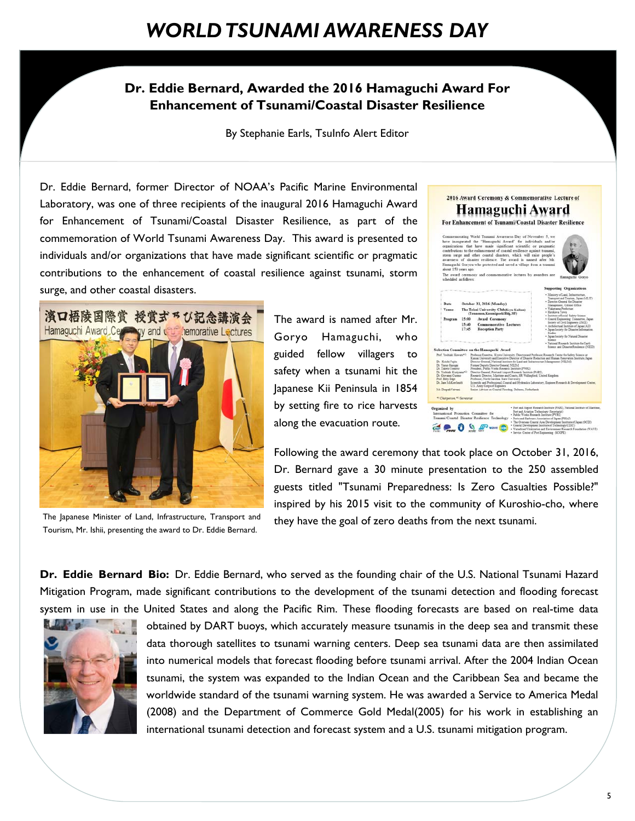#### **Dr. Eddie Bernard, Awarded the 2016 Hamaguchi Award For Enhancement of Tsunami/Coastal Disaster Resilience**

By Stephanie Earls, TsuInfo Alert Editor

Dr. Eddie Bernard, former Director of NOAA's Pacific Marine Environmental Laboratory, was one of three recipients of the inaugural 2016 Hamaguchi Award for Enhancement of Tsunami/Coastal Disaster Resilience, as part of the commemoration of World Tsunami Awareness Day. This award is presented to individuals and/or organizations that have made significant scientific or pragmatic contributions to the enhancement of coastal resilience against tsunami, storm surge, and other coastal disasters.



The Japanese Minister of Land, Infrastructure, Transport and Tourism, Mr. Ishii, presenting the award to Dr. Eddie Bernard.

The award is named after Mr. Goryo Hamaguchi, who guided fellow villagers to safety when a tsunami hit the Japanese Kii Peninsula in 1854 by setting fire to rice harvests along the evacuation route.







Following the award ceremony that took place on October 31, 2016, Dr. Bernard gave a 30 minute presentation to the 250 assembled guests titled "Tsunami Preparedness: Is Zero Casualties Possible?" inspired by his 2015 visit to the community of Kuroshio-cho, where they have the goal of zero deaths from the next tsunami.

**Dr. Eddie Bernard Bio:** Dr. Eddie Bernard, who served as the founding chair of the U.S. National Tsunami Hazard Mitigation Program, made significant contributions to the development of the tsunami detection and flooding forecast system in use in the United States and along the Pacific Rim. These flooding forecasts are based on real-time data



obtained by DART buoys, which accurately measure tsunamis in the deep sea and transmit these data thorough satellites to tsunami warning centers. Deep sea tsunami data are then assimilated into numerical models that forecast flooding before tsunami arrival. After the 2004 Indian Ocean tsunami, the system was expanded to the Indian Ocean and the Caribbean Sea and became the worldwide standard of the tsunami warning system. He was awarded a Service to America Medal (2008) and the Department of Commerce Gold Medal(2005) for his work in establishing an international tsunami detection and forecast system and a U.S. tsunami mitigation program.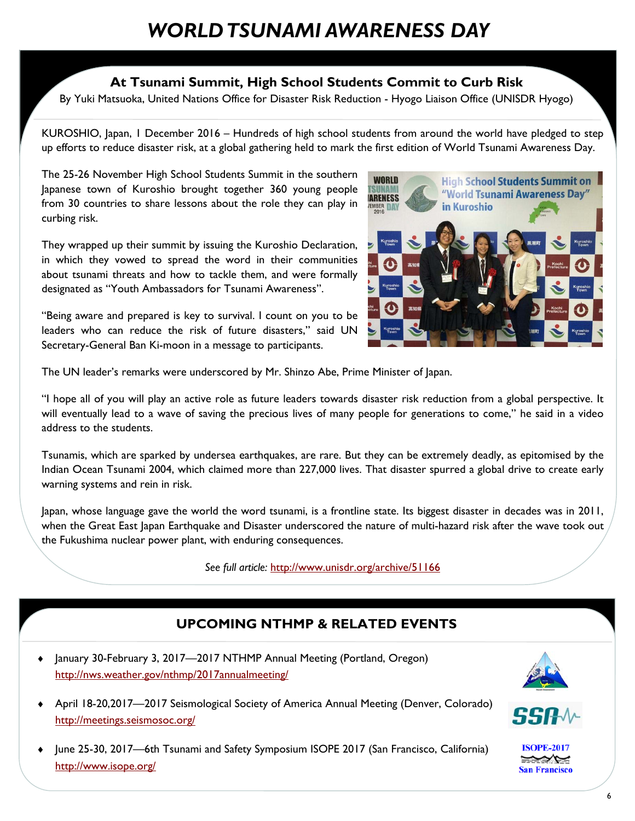### *WORLD TSUNAMI AWARENESS DAY*

#### **At Tsunami Summit, High School Students Commit to Curb Risk**

By Yuki Matsuoka, United Nations Office for Disaster Risk Reduction - Hyogo Liaison Office (UNISDR Hyogo)

KUROSHIO, Japan, 1 December 2016 – Hundreds of high school students from around the world have pledged to step up efforts to reduce disaster risk, at a global gathering held to mark the first edition of World Tsunami Awareness Day.

The 25-26 November High School Students Summit in the southern Japanese town of Kuroshio brought together 360 young people from 30 countries to share lessons about the role they can play in curbing risk.

They wrapped up their summit by issuing the Kuroshio Declaration, in which they vowed to spread the word in their communities about tsunami threats and how to tackle them, and were formally designated as "Youth Ambassadors for Tsunami Awareness".

"Being aware and prepared is key to survival. I count on you to be leaders who can reduce the risk of future disasters," said UN Secretary-General Ban Ki-moon in a message to participants.



The UN leader's remarks were underscored by Mr. Shinzo Abe, Prime Minister of Japan.

"I hope all of you will play an active role as future leaders towards disaster risk reduction from a global perspective. It will eventually lead to a wave of saving the precious lives of many people for generations to come," he said in a video address to the students.

Tsunamis, which are sparked by undersea earthquakes, are rare. But they can be extremely deadly, as epitomised by the Indian Ocean Tsunami 2004, which claimed more than 227,000 lives. That disaster spurred a global drive to create early warning systems and rein in risk.

Japan, whose language gave the world the word tsunami, is a frontline state. Its biggest disaster in decades was in 2011, when the Great East Japan Earthquake and Disaster underscored the nature of multi-hazard risk after the wave took out the Fukushima nuclear power plant, with enduring consequences.

*See full article:* http://www.unisdr.org/archive/51166

#### **UPCOMING NTHMP & RELATED EVENTS**

• January 30-February 3, 2017—2017 NTHMP Annual Meeting (Portland, Oregon) http://nws.weather.gov/nthmp/2017annualmeeting/



- **ISOPE-2017**
- June 25-30, 2017—6th Tsunami and Safety Symposium ISOPE 2017 (San Francisco, California) http://www.isope.org/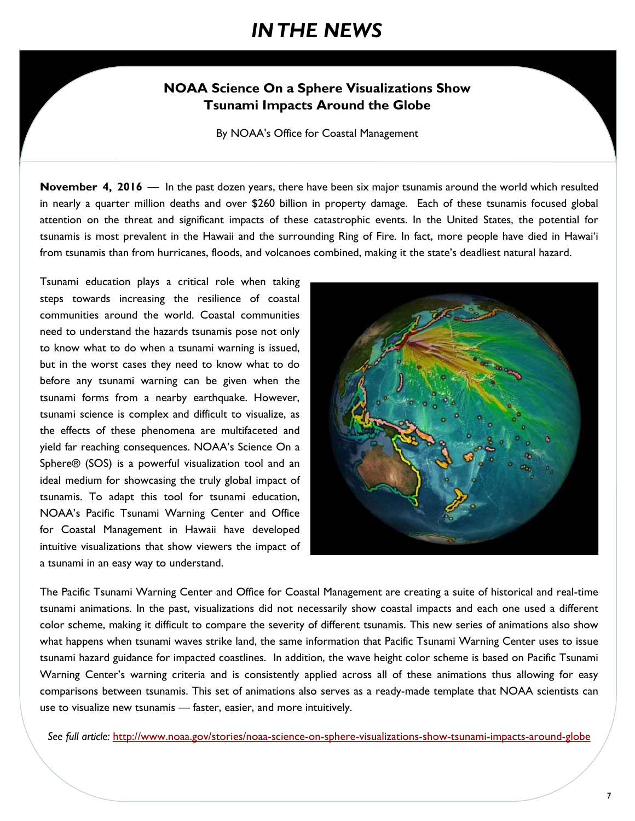### *IN THE NEWS*

#### **NOAA Science On a Sphere Visualizations Show Tsunami Impacts Around the Globe**

By NOAA's Office for Coastal Management

**November 4, 2016** — In the past dozen years, there have been six major tsunamis around the world which resulted in nearly a quarter million deaths and over \$260 billion in property damage. Each of these tsunamis focused global attention on the threat and significant impacts of these catastrophic events. In the United States, the potential for tsunamis is most prevalent in the Hawaii and the surrounding Ring of Fire. In fact, more people have died in Hawai'i from tsunamis than from hurricanes, floods, and volcanoes combined, making it the state's deadliest natural hazard.

Tsunami education plays a critical role when taking steps towards increasing the resilience of coastal communities around the world. Coastal communities need to understand the hazards tsunamis pose not only to know what to do when a tsunami warning is issued, but in the worst cases they need to know what to do before any tsunami warning can be given when the tsunami forms from a nearby earthquake. However, tsunami science is complex and difficult to visualize, as the effects of these phenomena are multifaceted and yield far reaching consequences. NOAA's Science On a Sphere® (SOS) is a powerful visualization tool and an ideal medium for showcasing the truly global impact of tsunamis. To adapt this tool for tsunami education, NOAA's Pacific Tsunami Warning Center and Office for Coastal Management in Hawaii have developed intuitive visualizations that show viewers the impact of a tsunami in an easy way to understand.



The Pacific Tsunami Warning Center and Office for Coastal Management are creating a suite of historical and real-time tsunami animations. In the past, visualizations did not necessarily show coastal impacts and each one used a different color scheme, making it difficult to compare the severity of different tsunamis. This new series of animations also show what happens when tsunami waves strike land, the same information that Pacific Tsunami Warning Center uses to issue tsunami hazard guidance for impacted coastlines. In addition, the wave height color scheme is based on Pacific Tsunami Warning Center's warning criteria and is consistently applied across all of these animations thus allowing for easy comparisons between tsunamis. This set of animations also serves as a ready-made template that NOAA scientists can use to visualize new tsunamis — faster, easier, and more intuitively.

*See full article:* http://www.noaa.gov/stories/noaa-science-on-sphere-visualizations-show-tsunami-impacts-around-globe